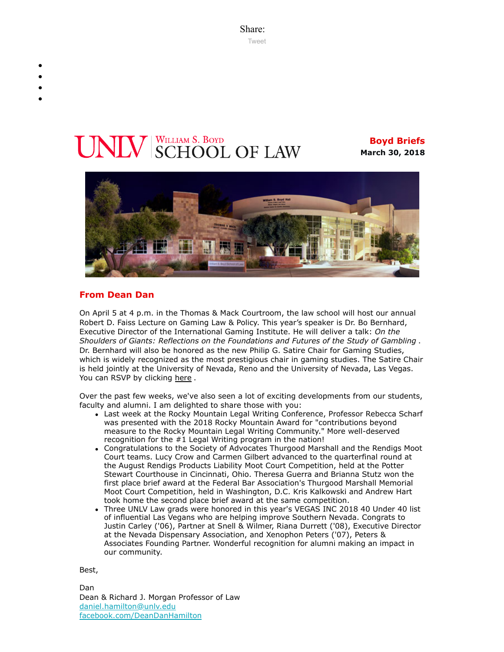Share: [Tweet](https://twitter.com/intent/tweet?ref_src=twsrc%5Etfw&text=Boyd%20Briefs&tw_p=tweetbutton&url=file%3A%2F%2F%2FC%3A%2FUsers%2FElizabeth%2520Manriquez%2FAppData%2FLocal%2FTemp%2FTemp1_boyd-briefs.zip%2Fboyd-briefs%2Femail-BoydBriefs-2018-03-30.html)

# **V** SCHOOL OF LAW

**Boyd Briefs March 30, 2018**



#### **From Dean Dan**

On April 5 at 4 p.m. in the Thomas & Mack Courtroom, the law school will host our annual Robert D. Faiss Lecture on Gaming Law & Policy. This year's speaker is Dr. Bo Bernhard, Executive Director of the International Gaming Institute. He will deliver a talk: *On the Shoulders of Giants: Reflections on the Foundations and Futures of the Study of Gambling* . Dr. Bernhard will also be honored as the new Philip G. Satire Chair for Gaming Studies, which is widely recognized as the most prestigious chair in gaming studies. The Satire Chair is held jointly at the University of Nevada, Reno and the University of Nevada, Las Vegas. You can RSVP by clicking [here](https://law.unlv.edu/event/robert-d-faiss-lecture-gaming-law-policy).

Over the past few weeks, we've also seen a lot of exciting developments from our students, faculty and alumni. I am delighted to share those with you:

- Last week at the Rocky Mountain Legal Writing Conference, Professor Rebecca Scharf was presented with the 2018 Rocky Mountain Award for "contributions beyond measure to the Rocky Mountain Legal Writing Community." More well-deserved recognition for the #1 Legal Writing program in the nation!
- Congratulations to the Society of Advocates Thurgood Marshall and the Rendigs Moot Court teams. Lucy Crow and Carmen Gilbert advanced to the quarterfinal round at the August Rendigs Products Liability Moot Court Competition, held at the Potter Stewart Courthouse in Cincinnati, Ohio. Theresa Guerra and Brianna Stutz won the first place brief award at the Federal Bar Association's Thurgood Marshall Memorial Moot Court Competition, held in Washington, D.C. Kris Kalkowski and Andrew Hart took home the second place brief award at the same competition.
- Three UNLV Law grads were honored in this year's VEGAS INC 2018 40 Under 40 list of influential Las Vegans who are helping improve Southern Nevada. Congrats to Justin Carley ('06), Partner at Snell & Wilmer, Riana Durrett ('08), Executive Director at the Nevada Dispensary Association, and Xenophon Peters ('07), Peters & Associates Founding Partner. Wonderful recognition for alumni making an impact in our community.

Best,

Dan Dean & Richard J. Morgan Professor of Law [daniel.hamilton@unlv.edu](mailto:daniel.hamilton@unlv.edu) [facebook.com/DeanDanHamilton](https://www.facebook.com/DeanDanHamilton)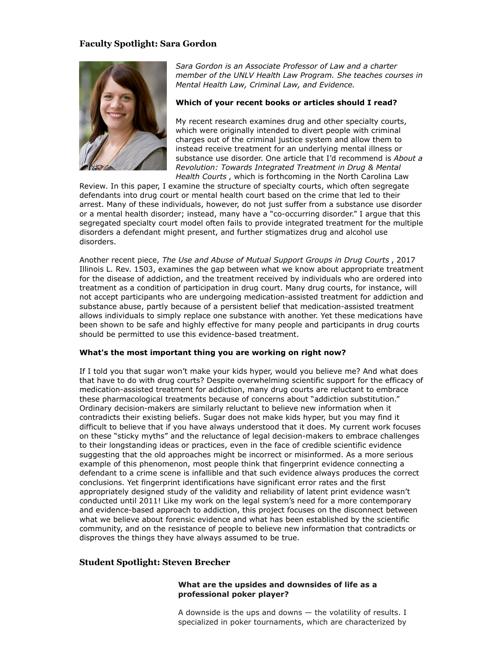### **Faculty Spotlight: Sara Gordon**



*Sara Gordon is an Associate Professor of Law and a charter member of the UNLV Health Law Program. She teaches courses in Mental Health Law, Criminal Law, and Evidence.*

#### **Which of your recent books or articles should I read?**

My recent research examines drug and other specialty courts, which were originally intended to divert people with criminal charges out of the criminal justice system and allow them to instead receive treatment for an underlying mental illness or substance use disorder. One article that I'd recommend is *About a Revolution: Towards Integrated Treatment in Drug & Mental Health Courts* , which is forthcoming in the North Carolina Law

Review. In this paper, I examine the structure of specialty courts, which often segregate defendants into drug court or mental health court based on the crime that led to their arrest. Many of these individuals, however, do not just suffer from a substance use disorder or a mental health disorder; instead, many have a "co-occurring disorder." I argue that this segregated specialty court model often fails to provide integrated treatment for the multiple disorders a defendant might present, and further stigmatizes drug and alcohol use disorders.

Another recent piece, *The Use and Abuse of Mutual Support Groups in Drug Courts* , 2017 Illinois L. Rev. 1503, examines the gap between what we know about appropriate treatment for the disease of addiction, and the treatment received by individuals who are ordered into treatment as a condition of participation in drug court. Many drug courts, for instance, will not accept participants who are undergoing medication-assisted treatment for addiction and substance abuse, partly because of a persistent belief that medication-assisted treatment allows individuals to simply replace one substance with another. Yet these medications have been shown to be safe and highly effective for many people and participants in drug courts should be permitted to use this evidence-based treatment.

#### **What's the most important thing you are working on right now?**

If I told you that sugar won't make your kids hyper, would you believe me? And what does that have to do with drug courts? Despite overwhelming scientific support for the efficacy of medication-assisted treatment for addiction, many drug courts are reluctant to embrace these pharmacological treatments because of concerns about "addiction substitution." Ordinary decision-makers are similarly reluctant to believe new information when it contradicts their existing beliefs. Sugar does not make kids hyper, but you may find it difficult to believe that if you have always understood that it does. My current work focuses on these "sticky myths" and the reluctance of legal decision-makers to embrace challenges to their longstanding ideas or practices, even in the face of credible scientific evidence suggesting that the old approaches might be incorrect or misinformed. As a more serious example of this phenomenon, most people think that fingerprint evidence connecting a defendant to a crime scene is infallible and that such evidence always produces the correct conclusions. Yet fingerprint identifications have significant error rates and the first appropriately designed study of the validity and reliability of latent print evidence wasn't conducted until 2011! Like my work on the legal system's need for a more contemporary and evidence-based approach to addiction, this project focuses on the disconnect between what we believe about forensic evidence and what has been established by the scientific community, and on the resistance of people to believe new information that contradicts or disproves the things they have always assumed to be true.

#### **Student Spotlight: Steven Brecher**

#### **What are the upsides and downsides of life as a professional poker player?**

A downside is the ups and downs  $-$  the volatility of results. I specialized in poker tournaments, which are characterized by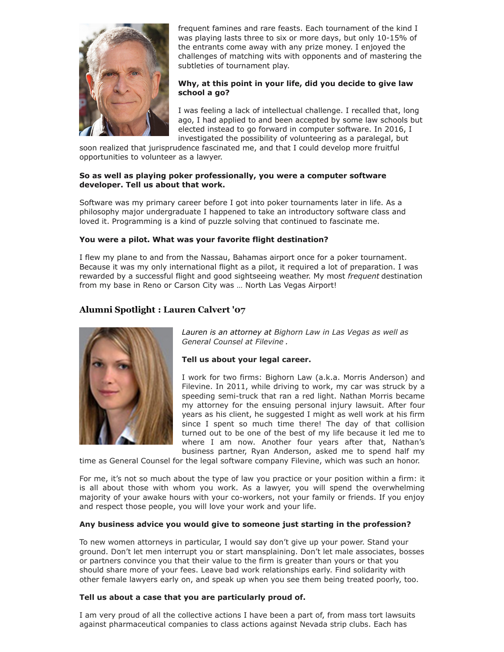

frequent famines and rare feasts. Each tournament of the kind I was playing lasts three to six or more days, but only 10-15% of the entrants come away with any prize money. I enjoyed the challenges of matching wits with opponents and of mastering the subtleties of tournament play.

#### **Why, at this point in your life, did you decide to give law school a go?**

I was feeling a lack of intellectual challenge. I recalled that, long ago, I had applied to and been accepted by some law schools but elected instead to go forward in computer software. In 2016, I investigated the possibility of volunteering as a paralegal, but

soon realized that jurisprudence fascinated me, and that I could develop more fruitful opportunities to volunteer as a lawyer.

#### **So as well as playing poker professionally, you were a computer software developer. Tell us about that work.**

Software was my primary career before I got into poker tournaments later in life. As a philosophy major undergraduate I happened to take an introductory software class and loved it. Programming is a kind of puzzle solving that continued to fascinate me.

#### **You were a pilot. What was your favorite flight destination?**

I flew my plane to and from the Nassau, Bahamas airport once for a poker tournament. Because it was my only international flight as a pilot, it required a lot of preparation. I was rewarded by a successful flight and good sightseeing weather. My most *frequent* destination from my base in Reno or Carson City was … North Las Vegas Airport!

## **Alumni Spotlight : Lauren Calvert '07**



*Lauren is an attorney at Bighorn Law in Las Vegas as well as General Counsel at Filevine .*

#### **Tell us about your legal career.**

I work for two firms: Bighorn Law (a.k.a. Morris Anderson) and Filevine. In 2011, while driving to work, my car was struck by a speeding semi-truck that ran a red light. Nathan Morris became my attorney for the ensuing personal injury lawsuit. After four years as his client, he suggested I might as well work at his firm since I spent so much time there! The day of that collision turned out to be one of the best of my life because it led me to where I am now. Another four years after that, Nathan's business partner, Ryan Anderson, asked me to spend half my

time as General Counsel for the legal software company Filevine, which was such an honor.

For me, it's not so much about the type of law you practice or your position within a firm: it is all about those with whom you work. As a lawyer, you will spend the overwhelming majority of your awake hours with your co-workers, not your family or friends. If you enjoy and respect those people, you will love your work and your life.

#### **Any business advice you would give to someone just starting in the profession?**

To new women attorneys in particular, I would say don't give up your power. Stand your ground. Don't let men interrupt you or start mansplaining. Don't let male associates, bosses or partners convince you that their value to the firm is greater than yours or that you should share more of your fees. Leave bad work relationships early. Find solidarity with other female lawyers early on, and speak up when you see them being treated poorly, too.

#### **Tell us about a case that you are particularly proud of.**

I am very proud of all the collective actions I have been a part of, from mass tort lawsuits against pharmaceutical companies to class actions against Nevada strip clubs. Each has